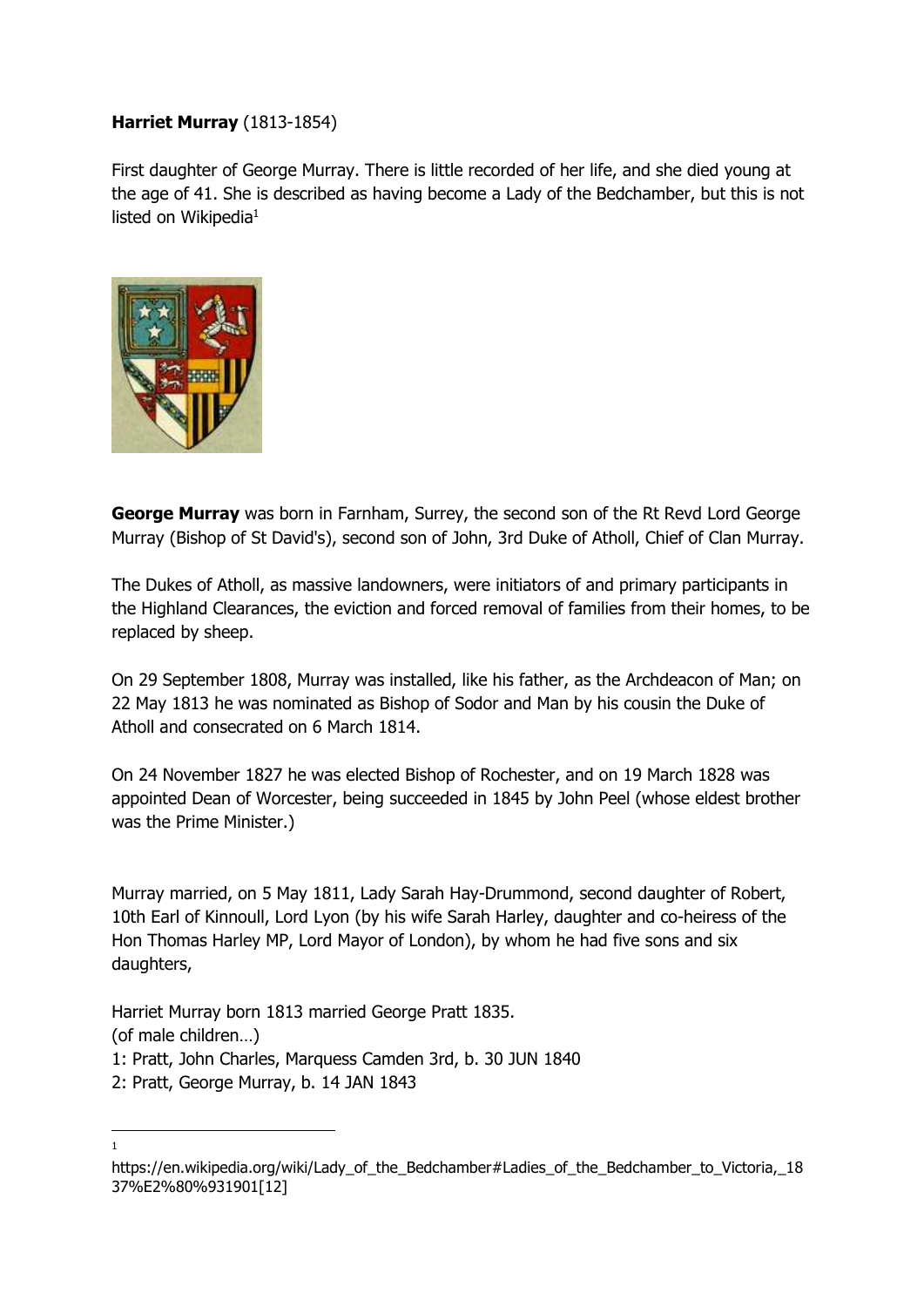## **Harriet Murray** (1813-1854)

First daughter of George Murray. There is little recorded of her life, and she died young at the age of 41. She is described as having become a Lady of the Bedchamber, but this is not listed on Wikipedia $1$ 



-1

**George Murray** was born in Farnham, Surrey, the second son of the Rt Revd Lord George Murray (Bishop of St David's), second son of John, 3rd Duke of Atholl, Chief of Clan Murray.

The Dukes of Atholl, as massive landowners, were initiators of and primary participants in the Highland Clearances, the eviction and forced removal of families from their homes, to be replaced by sheep.

On 29 September 1808, Murray was installed, like his father, as the Archdeacon of Man; on 22 May 1813 he was nominated as Bishop of Sodor and Man by his cousin the Duke of Atholl and consecrated on 6 March 1814.

On 24 November 1827 he was elected Bishop of Rochester, and on 19 March 1828 was appointed Dean of Worcester, being succeeded in 1845 by John Peel (whose eldest brother was the Prime Minister.)

Murray married, on 5 May 1811, Lady Sarah Hay-Drummond, second daughter of Robert, 10th Earl of Kinnoull, Lord Lyon (by his wife Sarah Harley, daughter and co-heiress of the Hon Thomas Harley MP, Lord Mayor of London), by whom he had five sons and six daughters,

Harriet Murray born 1813 married George Pratt 1835. (of male children…) 1: Pratt, John Charles, Marquess Camden 3rd, b. 30 JUN 1840 2: Pratt, George Murray, b. 14 JAN 1843

https://en.wikipedia.org/wiki/Lady\_of\_the\_Bedchamber#Ladies\_of\_the\_Bedchamber\_to\_Victoria,\_18 37%E2%80%931901[12]